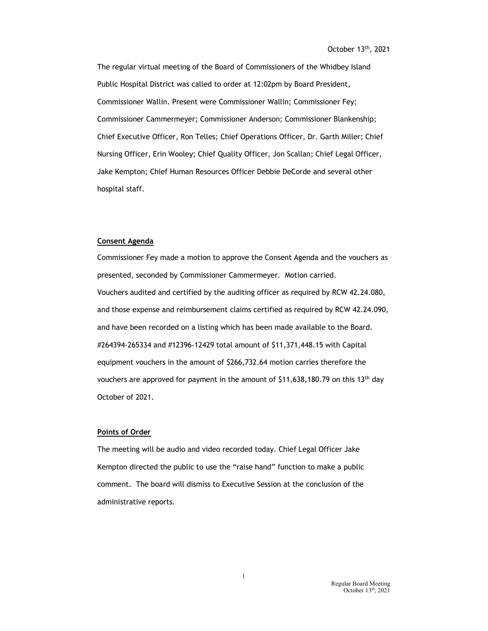The regular virtual meeting of the Board of Commissioners of the Whidbey Island October 13<sup>th</sup>, 2021<br>
The regular virtual meeting of the Board of Commissioners of the Whidbey Island<br>
Public Hospital District was called to order at 12:02pm by Board President,<br>
Commissioner Wallin. Present were Commissi Commissioner Wallin. Present were Commissioner Wallin; Commissioner Fey; Commissioner Cammermeyer; Commissioner Anderson; Commissioner Blankenship; Chief Executive Officer, Ron Telles; Chief Operations Officer, Dr. Garth Miller; Chief October 13<sup>th</sup>, 2021<br>The regular virtual meeting of the Board of Commissioners of the Whidbey Island<br>Public Hospital District was called to order at 12:02pm by Board President,<br>Commissioner Wallin. Present were Commissione October 13<sup>th</sup>, 2021<br>Despital District was called to order at 12:02pm by Board President,<br>Public Hospital District was called to order at 12:02pm by Board President,<br>Commissioner Wallin. Present were Commissioner Wallin; C hospital staff. Cocouser 13<sup>c</sup>, 2021<br>
The regular virtual meeting of the Board of Commissioners of the Whidbey Island<br>
Public Hospital District was called to order at 12:02pm by Board President,<br>
Commissioner Fey,<br>
Commissioner Cammermeye rile regular virtual intecting or the obation to commissioners or the windoey island<br>Public Hospital District was called to order at 12:02pm by Board President,<br>Commissioner Cammermeyer; Commissioner Anderson; Commissioner

# Consent Agenda

Vouchers audited and certified by the auditing officer as required by RCW 42.24.080, and those expense and reimbursement claims certified as required by RCW 42.24.090, and have been recorded on a listing which has been made available to the Board. Enter Executive Oriteer, non-reties; Ciner Operations Oriteer, Dr. Gartin Mitter; Ciner<br>Nursing Officer, Erin Wooley; Chief Quality Officer, Jon Scallan; Chief Legal Officer,<br>Jake Kempton; Chief Human Resources Officer Deb ruising orincer, erin wouey; their quality orincer, on statian; their legat orincer,<br>Jake Kempton; Chief Human Resources Officer Debbie DeCorde and several other<br>hospital staff.<br>Consent Agenda<br>Commissioner Fey made a motio vouchers are approved for payment in the amount of  $$11,638,180.79$  on this 13<sup>th</sup> day Consent Agenda<br>
Commissioner Fey made a motion to approve the Consent Agenda and the vouchers as<br>
presented, seconded by Commissioner Cammermeyer. Motion carried.<br>
Vouchers audited and certified by the auditing officer as

## Points of Order

The meeting will be audio and video recorded today. Chief Legal Officer Jake Kempton directed the public to use the "raise hand" function to make a public comment. The board will dismiss to Executive Session at the conclusion of the administrative reports.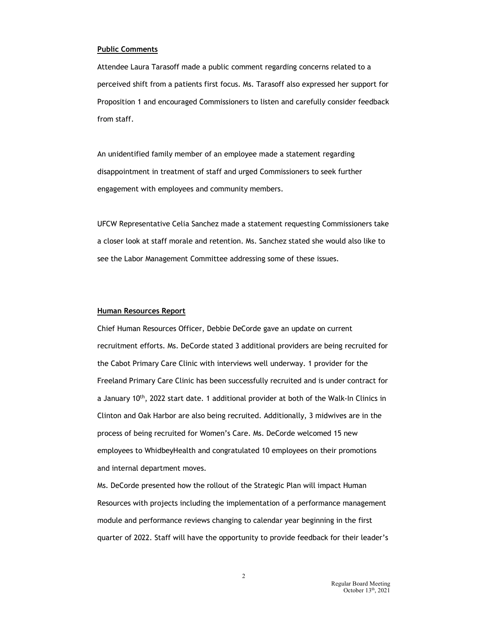### Public Comments

Public Comments<br>Attendee Laura Tarasoff made a public comment regarding concerns related to a<br>perceived shift from a patients first focus. Ms. Tarasoff also expressed her support for<br>Proposition 1 and encouraged Commission Public Comments<br>Attendee Laura Tarasoff made a public comment regarding concerns related to a<br>perceived shift from a patients first focus. Ms. Tarasoff also expressed her support for<br>Proposition 1 and encouraged Commission Proposition 1 and encouraged Commissioners to listen and carefully consider feedback from staff.

An unidentified family member of an employee made a statement regarding disappointment in treatment of staff and urged Commissioners to seek further engagement with employees and community members.

UFCW Representative Celia Sanchez made a statement requesting Commissioners take a closer look at staff morale and retention. Ms. Sanchez stated she would also like to see the Labor Management Committee addressing some of these issues.

### Human Resources Report

An unidentified family member of an employee made a statement regarding<br>disappointment in treatment of staff and urged Commissioners to seek further<br>engagement with employees and community members.<br>UFCW Representative Celi recruitment efforts. Ms. DeCorde stated 3 additional providers are being recruited for the Cabot Primary Care Clinic with interviews well underway. 1 provider for the Freeland Primary Care Clinic has been successfully recruited and is under contract for a January 10<sup>th</sup>, 2022 start date. 1 additional provider at both of the Walk-In Clinics in Clinton and Oak Harbor are also being recruited. Additionally, 3 midwives are in the process of being recruited for Women's Care. Ms. DeCorde welcomed 15 new employees to WhidbeyHealth and congratulated 10 employees on their promotions and internal department moves.

Ms. DeCorde presented how the rollout of the Strategic Plan will impact Human Resources with projects including the implementation of a performance management module and performance reviews changing to calendar year beginning in the first quarter of 2022. Staff will have the opportunity to provide feedback for their leader's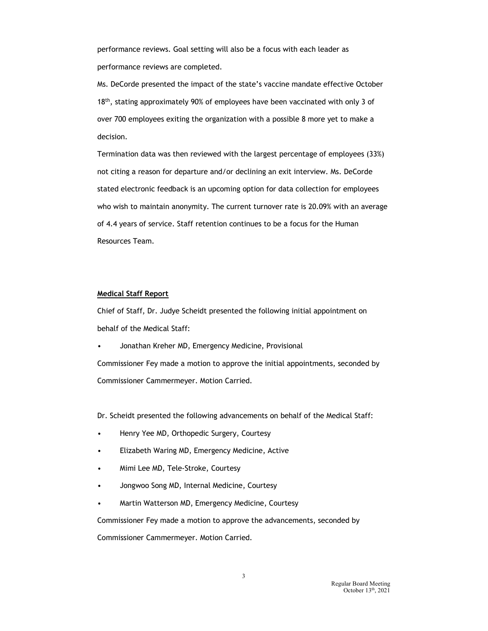performance reviews. Goal setting will also be a focus with each leader as performance reviews are completed.

Ms. DeCorde presented the impact of the state's vaccine mandate effective October  $18<sup>th</sup>$ , stating approximately 90% of employees have been vaccinated with only 3 of over 700 employees exiting the organization with a possible 8 more yet to make a decision.

Termination data was then reviewed with the largest percentage of employees (33%) not citing a reason for departure and/or declining an exit interview. Ms. DeCorde stated electronic feedback is an upcoming option for data collection for employees who wish to maintain anonymity. The current turnover rate is 20.09% with an average of 4.4 years of service. Staff retention continues to be a focus for the Human Resources Team. Termination data was then reviewed with the largest percentage of employees (33%)<br>not citing a reason for departure and/or declining an exit interview. Ms. DeCorde<br>stated electronic feedback is an upcoming option for data

# Medical Staff Report

Chief of Staff, Dr. Judye Scheidt presented the following initial appointment on behalf of the Medical Staff:

Commissioner Fey made a motion to approve the initial appointments, seconded by Commissioner Cammermeyer. Motion Carried. For the start of Surface Junction Concinues to be a focus for the fighter<br>
Resources Team.<br>
Chief of Staff, Dr. Judye Scheidt presented the following initial appointment on<br>
behalf of the Medical Staff:<br>
• Jonathan Kreher Francesources ream.<br>
• Medical Staff Report<br>
• Chief of Staff, Dr. Judye Scheidt presented the following initial appointment on<br>
behalf of the Medical Staff:<br>
• Jonathan Kreher MD, Emergency Medicine, Provisional<br>
Commissi Medical Staff Report<br>
Chief of Staff, Dr. Judye Scheidt presented the following initial appointment on<br>
behalf of the Medical Staff:<br>
• Jonathan Kreher MD, Emergency Medicine, Provisional<br>
Commissioner Fey made a motion to **Medical Staff Report**<br>
Chief of Staff, Dr. Judye Scheidt presented the following initial appointment on<br>
behalf of the Medical Staff:<br>
• Jonathan Kreher MD, Emergency Medicine, Provisional<br>
Commissioner Fey made a motion

Dr. Scheidt presented the following advancements on behalf of the Medical Staff:

- 
- 
- 
- 
- 

meanced Jearl responses<br>
Chief of Staff, Dr. Judye Scheidt presented the following initial appointment on<br>
behalf of the Medical Staff:<br>
• Jonathan Kreher MD, Emergency Medicine, Provisional<br>
Commissioner Fey made a motion Commissioner Fey made a motion to approve the advancements, seconded by Commissioner Cammermeyer. Motion Carried.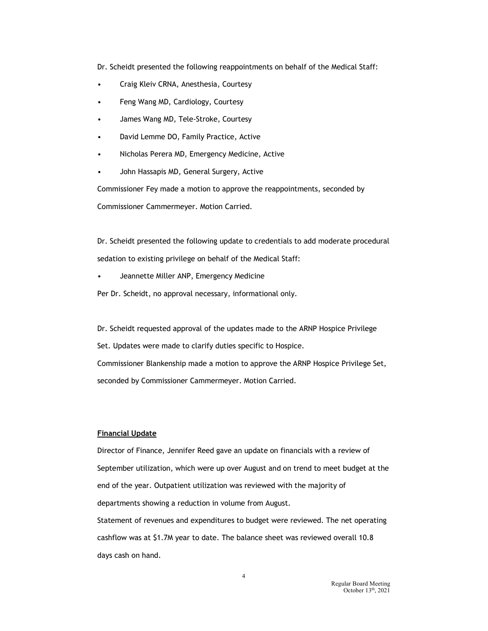Dr. Scheidt presented the following reappointments on behalf of the Medical Staff: Pr. Scheidt presented the following reappointments on behalf of the Medical Staff:<br>
• Craig Kleiv CRNA, Anesthesia, Courtesy<br>
• Feng Wang MD, Cardiology, Courtesy<br>
• James Wang MD, Tele-Stroke, Courtesy<br>
• Pavid Lemma PO, Dr. Scheidt presented the following reappointments on behalf of the Medical Staff:<br>
• Craig Kleiv CRNA, Anesthesia, Courtesy<br>
• Feng Wang MD, Cardiology, Courtesy<br>
• James Wang MD, Tele-Stroke, Courtesy<br>
• David Lemme DO, Dr. Scheidt presented the following reappointments on behalf of the Medical Staff:<br>
• Craig Kleiv CRNA, Anesthesia, Courtesy<br>
• Feng Wang MD, Cardiology, Courtesy<br>
• James Wang MD, Tele-Stroke, Courtesy<br>
• David Lemme DO, Dr. Scheidt presented the following reappointments on behalf of the Medical Staff:<br>
• Craig Kleiv CRNA, Anesthesia, Courtesy<br>
• Feng Wang MD, Cardiology, Courtesy<br>
• James Wang MD, Tele-Stroke, Courtesy<br>
• David Lemme DO,

- 
- 
- 
- 
- 
- 

Dr. Scheidt presented the following reappointments on behalf of the Medical Staff:<br>
• Craig Kleiv CRNA, Anesthesia, Courtesy<br>
• Feng Wang MD, Cardiology, Courtesy<br>
• James Wang MD, Tele-Stroke, Courtesy<br>
• David Lemme DO, Dr. Scheidt presented the following reappointments on behalf of the Medical Staff:<br>
• Craig Kleiv CRNA, Anesthesia, Courtesy<br>
• Feng Wang MD, Cardiology, Courtesy<br>
• James Wang MD, Tele-Stroke, Courtesy<br>
• David Lemme DO, Commissioner Fey made a motion to approve the reappointments, seconded by Commissioner Cammermeyer. Motion Carried.

Dr. Scheidt presented the following update to credentials to add moderate procedural sedation to existing privilege on behalf of the Medical Staff: France Context CRNA, Anesthesia, Courtesy<br>
• Craig Kleiv CRNA, Anesthesia, Courtesy<br>
• James Wang MD, Cardiology, Courtesy<br>
• James Wang MD, Tele-Stroke, Courtesy<br>
• David Lemme DO, Family Practice, Active<br>
• Nicholas Pere

- 
- Per Dr. Scheidt, no approval necessary, informational only.

Dr. Scheidt requested approval of the updates made to the ARNP Hospice Privilege

Set. Updates were made to clarify duties specific to Hospice.

Commissioner Blankenship made a motion to approve the ARNP Hospice Privilege Set, seconded by Commissioner Cammermeyer. Motion Carried.

# Financial Update

Director presented the holdman phone to decentrate to do moderate procedural<br>
dedation to existing privilege on behalf of the Medical Staff:<br>
Per Dr. Scheidt, no approval necessary, informational only.<br>
Dr. Scheidt request September utilization, which were up over August and on trend to meet budget at the end of the year. Outpatient utilization was reviewed with the majority of departments showing a reduction in volume from August. Statement of revenues and expenditures to budget were reviewed. The net operating cashflow was at \$1.7M year to date. The balance sheet was reviewed overall 10.8

days cash on hand.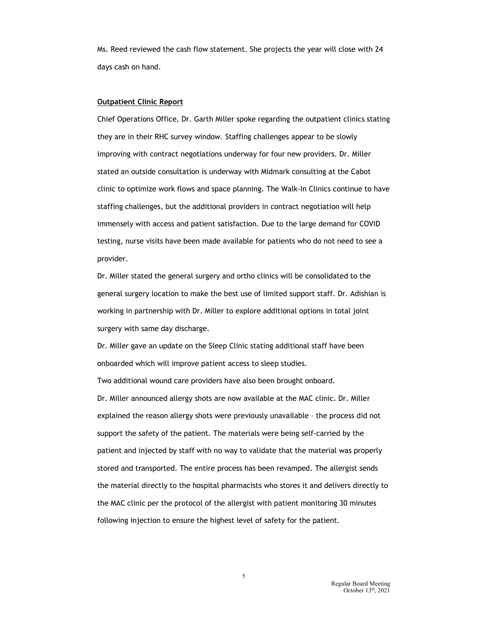Ms. Reed reviewed the cash flow statement. She projects the year will close with 24 days cash on hand.

## Outpatient Clinic Report

Chief Operations Office, Dr. Garth Miller spoke regarding the outpatient clinics stating they are in their RHC survey window. Staffing challenges appear to be slowly improving with contract negotiations underway for four new providers. Dr. Miller stated an outside consultation is underway with Midmark consulting at the Cabot clinic to optimize work flows and space planning. The Walk-In Clinics continue to have staffing challenges, but the additional providers in contract negotiation will help immensely with access and patient satisfaction. Due to the large demand for COVID testing, nurse visits have been made available for patients who do not need to see a provider.

Dr. Miller stated the general surgery and ortho clinics will be consolidated to the general surgery location to make the best use of limited support staff. Dr. Adishian is working in partnership with Dr. Miller to explore additional options in total joint surgery with same day discharge.

Dr. Miller gave an update on the Sleep Clinic stating additional staff have been onboarded which will improve patient access to sleep studies.

Two additional wound care providers have also been brought onboard.

Dr. Miller announced allergy shots are now available at the MAC clinic. Dr. Miller staring enatorieses, sol are deterted to the reason allered the reason of the reason of the reason of the reason of the reason of the reason of the reason of the reason allered to the reason provider.<br>
Dr. Miller stated th summarizely mear decess and patient statistication. But to the the general of the patient of the self-carried by the patients who do not need to see a provider.<br>Dr. Miller stated the general surgery and ortho chinics will patient and injected by staff with no way to validate that the material was properly stored and transported. The entire process has been revamped. The allergist sends the material directly to the hospital pharmacists who stores it and delivers directly to the MAC clinic per the protocol of the allergist with patient monitoring 30 minutes following injection to ensure the highest level of safety for the patient.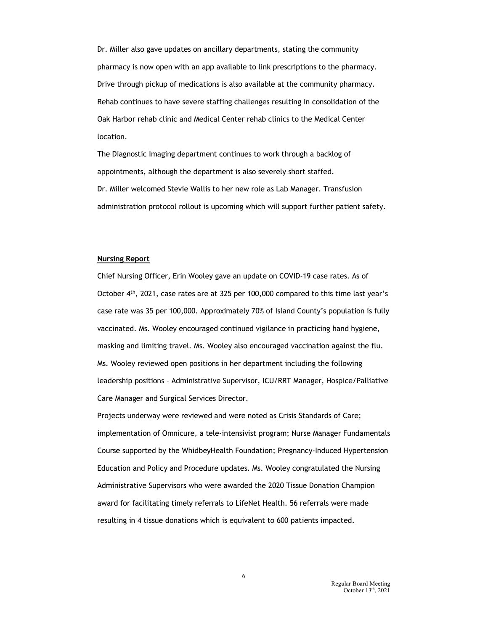Dr. Miller also gave updates on ancillary departments, stating the community pharmacy is now open with an app available to link prescriptions to the pharmacy. Drive through pickup of medications is also available at the community pharmacy. Rehab continues to have severe staffing challenges resulting in consolidation of the Oak Harbor rehab clinic and Medical Center rehab clinics to the Medical Center location. pherinesy is non-open-wini an app available at the community pharmacy.<br>Drive through pickup of medications is also available at the community pharmacy.<br>Rehab continues to have severe staffing challenges resulting in consol

The Diagnostic Imaging department continues to work through a backlog of appointments, although the department is also severely short staffed. Dr. Miller welcomed Stevie Wallis to her new role as Lab Manager. Transfusion administration protocol rollout is upcoming which will support further patient safety.

# Nursing Report

Etheb continues to have severe staffing challenges resulting in consolidation of the Oak Harbor rehab clinic and Medical Center rehab clinics to the Medical Center relation.<br>
The Diagnostic Imaging department continues to case rate was 35 per 100,000. Approximately 70% of Island County's population is fully vaccinated. Ms. Wooley encouraged continued vigilance in practicing hand hygiene, masking and limiting travel. Ms. Wooley also encouraged vaccination against the flu. Ms. Wooley reviewed open positions in her department including the following Dr. Miller welcomed Stevie Wallis to her new role as Lab Manager. Transfusion<br>Dr. Miller welcomed Stevie Wallis to her new role as Lab Manager. Transfusion<br>administration protocol rollout is upcoming which will support fur Care Manager and Surgical Services Director.

Projects underway were reviewed and were noted as Crisis Standards of Care; implementation of Omnicure, a tele-intensivist program; Nurse Manager Fundamentals Course supported by the WhidbeyHealth Foundation; Pregnancy-Induced Hypertension Education and Policy and Procedure updates. Ms. Wooley congratulated the Nursing Administrative Supervisors who were awarded the 2020 Tissue Donation Champion award for facilitating timely referrals to LifeNet Health. 56 referrals were made resulting in 4 tissue donations which is equivalent to 600 patients impacted.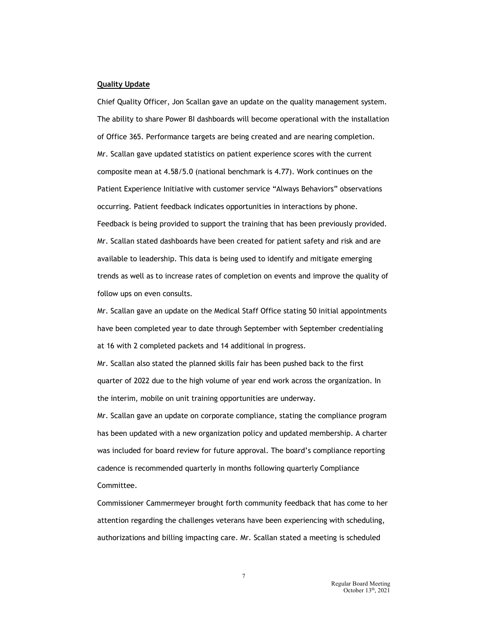**Quality Update**<br>Chief Quality Officer, Jon Scallan gave an update on the quality management system.<br>The ability to share Power BI dashboards will become operational with the installation<br>of Office 265. Performance targets **Quality Update**<br>Chief Quality Officer, Jon Scallan gave an update on the quality management system.<br>The ability to share Power BI dashboards will become operational with the installation<br>of Office 365. Performance targets The ability to share Power BI dashboards will become operational with the installation of Office 365. Performance targets are being created and are nearing completion. Mr. Scallan gave updated statistics on patient experience scores with the current composite mean at 4.58/5.0 (national benchmark is 4.77). Work continues on the Patient Experience Initiative with customer service "Always Behaviors" observations occurring. Patient feedback indicates opportunities in interactions by phone. Feedback is being provided to support the training that has been previously provided. **Quality Update**<br>Chief Quality Officer, Jon Scallan gave an update on the quality management system.<br>The ability to share Power BI dashboards will become operational with the installation<br>of Office 365. Performance targets available to leadership. This data is being used to identify and mitigate emerging trends as well as to increase rates of completion on events and improve the quality of follow ups on even consults. mr. Scallan gare updated statistics on putchic experience scores when the curricity<br>composite mean at 4.58/5.0 (national benchmark is 4.77). Work continues on the<br>Patient Experience Initiative with customer service "Always

Mr. Scallan gave an update on the Medical Staff Office stating 50 initial appointments have been completed year to date through September with September credentialing at 16 with 2 completed packets and 14 additional in progress.

quarter of 2022 due to the high volume of year end work across the organization. In the interim, mobile on unit training opportunities are underway.

Mr. Scallan gave an update on corporate compliance, stating the compliance program has been updated with a new organization policy and updated membership. A charter was included for board review for future approval. The board's compliance reporting cadence is recommended quarterly in months following quarterly Compliance Committee.

Commissioner Cammermeyer brought forth community feedback that has come to her attention regarding the challenges veterans have been experiencing with scheduling, authorizations and billing impacting care. Mr. Scallan stated a meeting is scheduled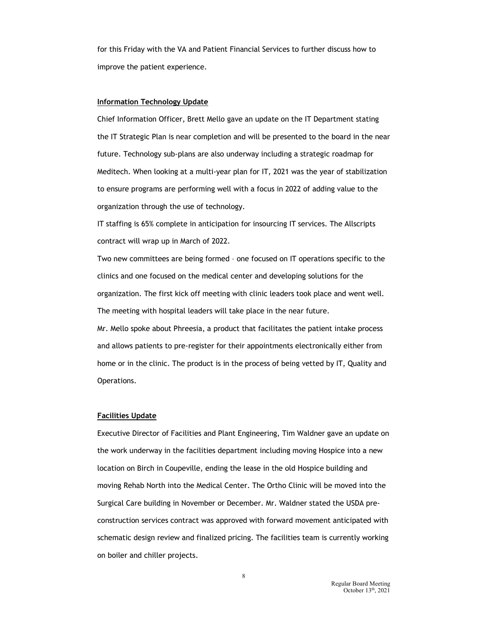for this Friday with the VA and Patient Financial Services to further discuss how to improve the patient experience.

For this Friday with the VA and Patient Financial Services to further discuss how to<br>Improve the patient experience.<br>Information Technology Update<br>Chief Information Officer, Brett Mello gave an update on the IT Department for this Friday with the VA and Patient Financial Services to further discuss how to<br>improve the patient experience.<br>Information Technology Update<br>Chief Information Officer, Brett Mello gave an update on the IT Department the IT Strategic Plan is near completion and will be presented to the board in the near future. Technology sub-plans are also underway including a strategic roadmap for for this Friday with the VA and Patient Financial Services to further discuss how to<br>improve the patient experience.<br>
Information Technology Update<br>
Chief Information Officer, Brett Mello gave an update on the IT Departmen to ensure programs are performing well with a focus in 2022 of adding value to the organization through the use of technology. Information Technology Update<br>Information Technology Update<br>Chief Information Officer, Brett Mello gave an update on the IT Department stating<br>the IT Strategic Plan is near completion and will be presented to the board in

IT staffing is 65% complete in anticipation for insourcing IT services. The Allscripts contract will wrap up in March of 2022.

clinics and one focused on the medical center and developing solutions for the organization. The first kick off meeting with clinic leaders took place and went well. The meeting with hospital leaders will take place in the near future.

Mr. Mello spoke about Phreesia, a product that facilitates the patient intake process and allows patients to pre-register for their appointments electronically either from home or in the clinic. The product is in the process of being vetted by IT, Quality and Operations. IT stating a book complete in anticipation for madding it services. The kideoples<br>Contract will wrap up in March of 2022.<br>Two new committees are being formed - one focused on IT operations specific to the<br>diffics and one f

### Facilities Update

Two new committees are being formed - one focused on IT operations specific to the<br>clinics and one focused on the medical center and developing solutions for the<br>organization. The first kick off meeting with clinic leaders location on Birch in Coupeville, ending the lease in the old Hospice building and moving Rehab North into the Medical Center. The Ortho Clinic will be moved into the Surgical Care building in November or December. Mr. Waldner stated the USDA preconstruction services contract was approved with forward movement anticipated with schematic design review and finalized pricing. The facilities team is currently working on boiler and chiller projects.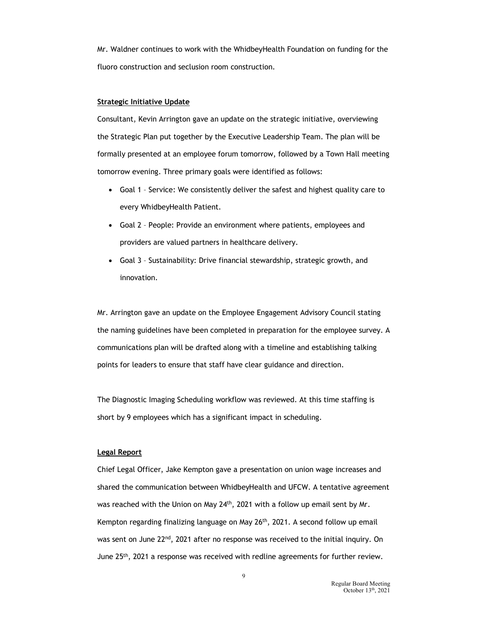Mr. Waldner continues to work with the WhidbeyHealth Foundation on funding for the fluoro construction and seclusion room construction.

# Strategic Initiative Update

Mr. Waldner continues to work with the WhidbeyHealth Foundation on funding for the<br>fluoro construction and seclusion room construction.<br>Strategic Initiative Update<br>Consultant, Kevin Arrington gave an update on the strategi the Strategic Plan put together by the Executive Leadership Team. The plan will be formally presented at an employee forum tomorrow, followed by a Town Hall meeting tomorrow evening. Three primary goals were identified as follows: Idner continues to work with the WhidbeyHealth Foundation on funding for the<br>construction and seclusion room construction.<br>Interaction and seclusion room construction.<br>Interaction, Kevin Arrington gave an update on the str Idner continues to work with the WhidbeyHealth Foundation on funding for the<br>construction and seclusion room construction.<br>The construction and seclusion room construction.<br>The standard where the state and the strategic in Experimental and monocyprocentric in the matter of the strategic construction and seclusion room construction.<br>
Rigit Initiative Update<br>
Exerting the Exertitive Leadership Team. The plan will be<br>
by presented at an employe

- every WhidbeyHealth Patient.
- providers are valued partners in healthcare delivery.
- innovation.

Mr. Arrington gave an update on the Employee Engagement Advisory Council stating the naming guidelines have been completed in preparation for the employee survey. A communications plan will be drafted along with a timeline and establishing talking points for leaders to ensure that staff have clear guidance and direction. • Goal 3 - Sustainability: Drive financial stewardship, strategic growth, and<br>innovation.<br>Mr. Arrington gave an update on the Employee Engagement Advisory Council stating<br>the naming guidelines have been completed in prepar

The Diagnostic Imaging Scheduling workflow was reviewed. At this time staffing is short by 9 employees which has a significant impact in scheduling.

Chief Legal Officer, Jake Kempton gave a presentation on union wage increases and shared the communication between WhidbeyHealth and UFCW. A tentative agreement Mr. Arrington gave an update on the Employee Engagement Advisory Council stating<br>the naming guidelines have been completed in preparation for the employee survey. A<br>communications plan will be drafted along with a timeline Kempton regarding finalizing language on May 26<sup>th</sup>, 2021. A second follow up email was sent on June 22<sup>nd</sup>, 2021 after no response was received to the initial inquiry. On June  $25<sup>th</sup>$ , 2021 a response was received with redline agreements for further review.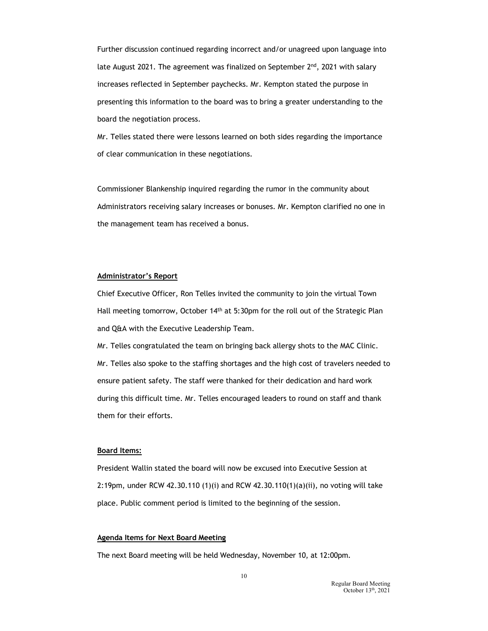Further discussion continued regarding incorrect and/or unagreed upon language into Further discussion continued regarding incorrect and/or unagreed upon language into<br>late August 2021. The agreement was finalized on September  $2^{nd}$ , 2021 with salary<br>increases reflected in September paychecks. Mr. Kempt Further discussion continued regarding incorrect and/or unagreed upon language into<br>late August 2021. The agreement was finalized on September  $2^{nd}$ , 2021 with salary<br>increases reflected in September paychecks. Mr. Kempt presenting this information to the board was to bring a greater understanding to the board the negotiation process.

Mr. Telles stated there were lessons learned on both sides regarding the importance of clear communication in these negotiations.

Commissioner Blankenship inquired regarding the rumor in the community about Administrators receiving salary increases or bonuses. Mr. Kempton clarified no one in the management team has received a bonus.

# Administrator's Report

Chief Executive Officer, Ron Telles invited the community to join the virtual Town Hall meeting tomorrow, October 14<sup>th</sup> at 5:30pm for the roll out of the Strategic Plan and Q&A with the Executive Leadership Team.

Mr. Telles congratulated the team on bringing back allergy shots to the MAC Clinic. Commissioner Blankenship inquired regarding the rumor in the community about<br>Administrators receiving salary increases or bonuses. Mr. Kempton clarified no one in<br>the management team has received a bonus.<br>Administrator's R ensure patient safety. The staff were thanked for their dedication and hard work during this difficult time. Mr. Telles encouraged leaders to round on staff and thank them for their efforts. **Administrator's Report**<br>Chief Executive Officer, Ron Telles invited the community to join the virtual Town<br>Hall meeting tomorrow, October 14<sup>th</sup> at 5:30pm for the roll out of the Strategic Plan<br>and Q&A with the Executive **Examinencial of Fragmerical School School School School School School School School School School School School School School School School School School School School School School School School School School School Scho** Enter Executive Oricei, nont rettes inviced the Community to John the Virtuat Town<br>Hall meeting tomorrow, October 14<sup>th</sup> at 5:30pm for the roll out of the Strategic Plan<br>and QBA with the Executive Leadership Team.<br>Mr. Tell m. Tettes dorgotatated the claim on bringing back there **y** about of the element.<br>Mr. Telles also spoke to the staffing shortages and the high cost of travelers needed to<br>ensure patient safety. The staff were thanked for t

### Board Items:

### Agenda Items for Next Board Meeting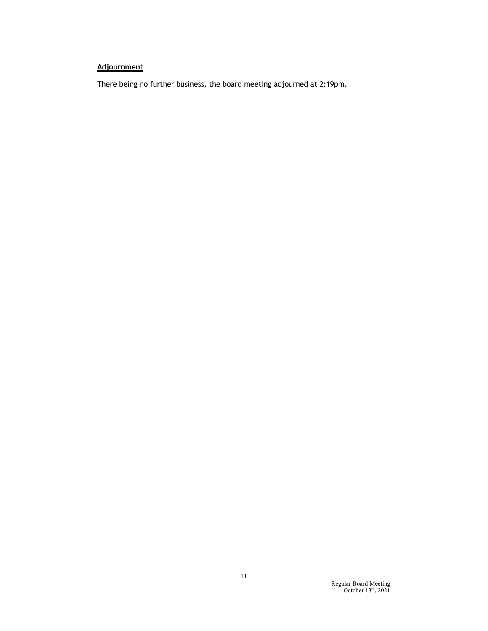# **Adjournment**

There being no further business, the board meeting adjourned at 2:19pm.